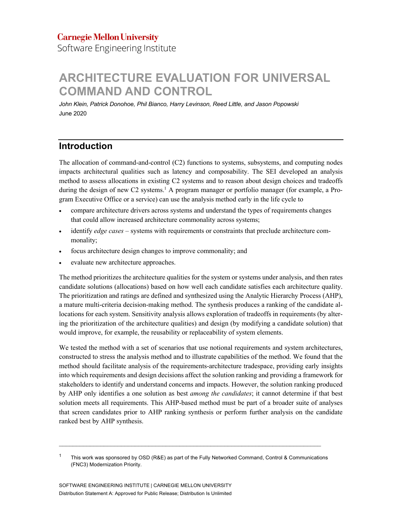Software Engineering Institute

# **ARCHITECTURE EVALUATION FOR UNIVERSAL COMMAND AND CONTROL**

*John Klein, Patrick Donohoe, Phil Bianco, Harry Levinson, Reed Little, and Jason Popowski* June 2020

# **Introduction**

The allocation of command-and-control (C2) functions to systems, subsystems, and computing nodes impacts architectural qualities such as latency and composability. The SEI developed an analysis method to assess allocations in existing C2 systems and to reason about design choices and tradeoffs during the design of new C2 systems.<sup>1</sup> A program manager or portfolio manager (for example, a Program Executive Office or a service) can use the analysis method early in the life cycle to

- compare architecture drivers across systems and understand the types of requirements changes that could allow increased architecture commonality across systems;
- identify *edge cases* systems with requirements or constraints that preclude architecture commonality;
- focus architecture design changes to improve commonality; and
- evaluate new architecture approaches.

The method prioritizes the architecture qualities for the system or systems under analysis, and then rates candidate solutions (allocations) based on how well each candidate satisfies each architecture quality. The prioritization and ratings are defined and synthesized using the Analytic Hierarchy Process (AHP), a mature multi-criteria decision-making method. The synthesis produces a ranking of the candidate allocations for each system. Sensitivity analysis allows exploration of tradeoffs in requirements (by altering the prioritization of the architecture qualities) and design (by modifying a candidate solution) that would improve, for example, the reusability or replaceability of system elements.

We tested the method with a set of scenarios that use notional requirements and system architectures, constructed to stress the analysis method and to illustrate capabilities of the method. We found that the method should facilitate analysis of the requirements-architecture tradespace, providing early insights into which requirements and design decisions affect the solution ranking and providing a framework for stakeholders to identify and understand concerns and impacts. However, the solution ranking produced by AHP only identifies a one solution as best *among the candidates*; it cannot determine if that best solution meets all requirements. This AHP-based method must be part of a broader suite of analyses that screen candidates prior to AHP ranking synthesis or perform further analysis on the candidate ranked best by AHP synthesis.

 $\mathcal{L}_\text{max}$ 

<sup>1</sup> This work was sponsored by OSD (R&E) as part of the Fully Networked Command, Control & Communications (FNC3) Modernization Priority.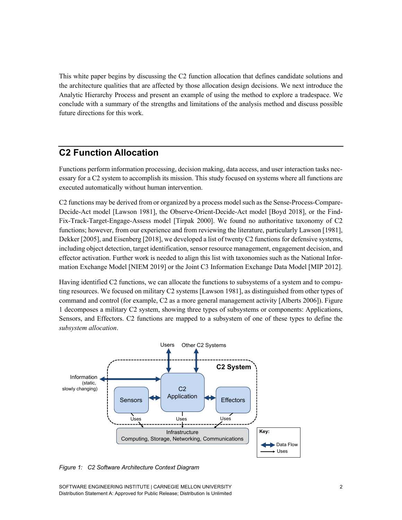This white paper begins by discussing the C2 function allocation that defines candidate solutions and the architecture qualities that are affected by those allocation design decisions. We next introduce the Analytic Hierarchy Process and present an example of using the method to explore a tradespace. We conclude with a summary of the strengths and limitations of the analysis method and discuss possible future directions for this work.

# **C2 Function Allocation**

Functions perform information processing, decision making, data access, and user interaction tasks necessary for a C2 system to accomplish its mission. This study focused on systems where all functions are executed automatically without human intervention.

C2 functions may be derived from or organized by a process model such as the Sense-Process-Compare-Decide-Act model [Lawson 1981], the Observe-Orient-Decide-Act model [Boyd 2018], or the Find-Fix-Track-Target-Engage-Assess model [Tirpak 2000]. We found no authoritative taxonomy of C2 functions; however, from our experience and from reviewing the literature, particularly Lawson [1981], Dekker [2005], and Eisenberg [2018], we developed a list of twenty C2 functions for defensive systems, including object detection, target identification, sensor resource management, engagement decision, and effector activation. Further work is needed to align this list with taxonomies such as the National Information Exchange Model [NIEM 2019] or the Joint C3 Information Exchange Data Model [MIP 2012].

Having identified C2 functions, we can allocate the functions to subsystems of a system and to computing resources. We focused on military C2 systems [Lawson 1981], as distinguished from other types of command and control (for example, C2 as a more general management activity [Alberts 2006]). Figure 1 decomposes a military C2 system, showing three types of subsystems or components: Applications, Sensors, and Effectors. C2 functions are mapped to a subsystem of one of these types to define the *subsystem allocation*.



*Figure 1: C2 Software Architecture Context Diagram*

SOFTWARE ENGINEERING INSTITUTE | CARNEGIE MELLON UNIVERSITY 2 Distribution Statement A: Approved for Public Release; Distribution Is Unlimited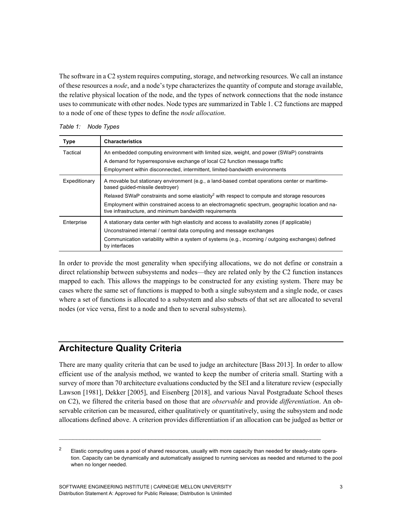The software in a C2 system requires computing, storage, and networking resources. We call an instance of these resources a *node*, and a node's type characterizes the quantity of compute and storage available, the relative physical location of the node, and the types of network connections that the node instance uses to communicate with other nodes. Node types are summarized in Table 1. C2 functions are mapped to a node of one of these types to define the *node allocation*.

*Table 1: Node Types*

| Type          | <b>Characteristics</b>                                                                                                                                                  |  |  |  |  |  |
|---------------|-------------------------------------------------------------------------------------------------------------------------------------------------------------------------|--|--|--|--|--|
| Tactical      | An embedded computing environment with limited size, weight, and power (SWaP) constraints<br>A demand for hyperresponsive exchange of local C2 function message traffic |  |  |  |  |  |
|               | Employment within disconnected, intermittent, limited-bandwidth environments                                                                                            |  |  |  |  |  |
| Expeditionary | A movable but stationary environment (e.g., a land-based combat operations center or maritime-<br>based quided-missile destroyer)                                       |  |  |  |  |  |
|               | Relaxed SWaP constraints and some elasticity <sup>2</sup> with respect to compute and storage resources                                                                 |  |  |  |  |  |
|               | Employment within constrained access to an electromagnetic spectrum, geographic location and na-<br>tive infrastructure, and minimum bandwidth requirements             |  |  |  |  |  |
| Enterprise    | A stationary data center with high elasticity and access to availability zones (if applicable)                                                                          |  |  |  |  |  |
|               | Unconstrained internal / central data computing and message exchanges                                                                                                   |  |  |  |  |  |
|               | Communication variability within a system of systems (e.g., incoming / outgoing exchanges) defined<br>by interfaces                                                     |  |  |  |  |  |

In order to provide the most generality when specifying allocations, we do not define or constrain a direct relationship between subsystems and nodes—they are related only by the C2 function instances mapped to each. This allows the mappings to be constructed for any existing system. There may be cases where the same set of functions is mapped to both a single subsystem and a single node, or cases where a set of functions is allocated to a subsystem and also subsets of that set are allocated to several nodes (or vice versa, first to a node and then to several subsystems).

# **Architecture Quality Criteria**

There are many quality criteria that can be used to judge an architecture [Bass 2013]. In order to allow efficient use of the analysis method, we wanted to keep the number of criteria small. Starting with a survey of more than 70 architecture evaluations conducted by the SEI and a literature review (especially Lawson [1981], Dekker [2005], and Eisenberg [2018], and various Naval Postgraduate School theses on C2), we filtered the criteria based on those that are *observable* and provide *differentiation*. An observable criterion can be measured, either qualitatively or quantitatively, using the subsystem and node allocations defined above. A criterion provides differentiation if an allocation can be judged as better or

 $\mathcal{L}_\text{max}$ 

 $2<sup>2</sup>$  Elastic computing uses a pool of shared resources, usually with more capacity than needed for steady-state operation. Capacity can be dynamically and automatically assigned to running services as needed and returned to the pool when no longer needed.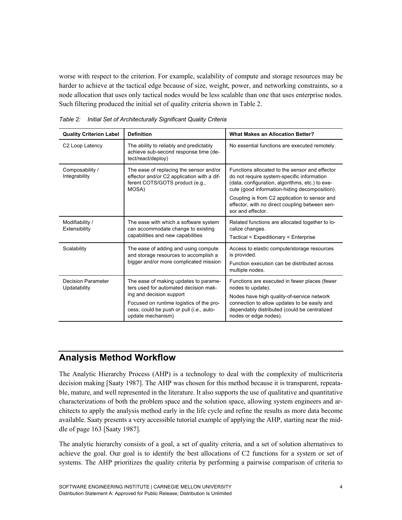worse with respect to the criterion. For example, scalability of compute and storage resources may be harder to achieve at the tactical edge because of size, weight, power, and networking constraints, so a node allocation that uses only tactical nodes would be less scalable than one that uses enterprise nodes. Such filtering produced the initial set of quality criteria shown in Table 2.

| <b>Quality Criterion Label</b>            | <b>Definition</b>                                                                                                                                                                                                       | <b>What Makes an Allocation Better?</b>                                                                                                                                                                                                                                                                                  |  |  |  |  |
|-------------------------------------------|-------------------------------------------------------------------------------------------------------------------------------------------------------------------------------------------------------------------------|--------------------------------------------------------------------------------------------------------------------------------------------------------------------------------------------------------------------------------------------------------------------------------------------------------------------------|--|--|--|--|
| C2 Loop Latency                           | The ability to reliably and predictably<br>achieve sub-second response time (de-<br>tect/react/deploy)                                                                                                                  | No essential functions are executed remotely.                                                                                                                                                                                                                                                                            |  |  |  |  |
| Composability /<br>Integrability          | The ease of replacing the sensor and/or<br>effector and/or C2 application with a dif-<br>ferent COTS/GOTS product (e.g.,<br>MOSA)                                                                                       | Functions allocated to the sensor and effector<br>do not require system-specific information<br>(data, configuration, algorithms, etc.) to exe-<br>cute (good information-hiding decomposition).<br>Coupling is from C2 application to sensor and<br>effector, with no direct coupling between sen-<br>sor and effector. |  |  |  |  |
| Modifiability /<br>Extensibility          | The ease with which a software system<br>can accommodate change to existing<br>capabilities and new capabilities                                                                                                        | Related functions are allocated together to lo-<br>calize changes.<br>Tactical < Expeditionary < Enterprise                                                                                                                                                                                                              |  |  |  |  |
| Scalability                               | The ease of adding and using compute<br>and storage resources to accomplish a<br>bigger and/or more complicated mission                                                                                                 | Access to elastic compute/storage resources<br>is provided.<br>Function execution can be distributed across<br>multiple nodes.                                                                                                                                                                                           |  |  |  |  |
| <b>Decision Parameter</b><br>Updatability | The ease of making updates to parame-<br>ters used for automated decision mak-<br>ing and decision support<br>Focused on runtime logistics of the pro-<br>cess; could be push or pull (i.e., auto-<br>update mechanism) | Functions are executed in fewer places (fewer<br>nodes to update).<br>Nodes have high quality-of-service network<br>connection to allow updates to be easily and<br>dependably distributed (could be centralized<br>nodes or edge nodes).                                                                                |  |  |  |  |

*Table 2: Initial Set of Architecturally Significant Quality Criteria*

## **Analysis Method Workflow**

The Analytic Hierarchy Process (AHP) is a technology to deal with the complexity of multicriteria decision making [Saaty 1987]. The AHP was chosen for this method because it is transparent, repeatable, mature, and well represented in the literature. It also supports the use of qualitative and quantitative characterizations of both the problem space and the solution space, allowing system engineers and architects to apply the analysis method early in the life cycle and refine the results as more data become available. Saaty presents a very accessible tutorial example of applying the AHP, starting near the middle of page 163 [Saaty 1987].

The analytic hierarchy consists of a goal, a set of quality criteria, and a set of solution alternatives to achieve the goal. Our goal is to identify the best allocations of C2 functions for a system or set of systems. The AHP prioritizes the quality criteria by performing a pairwise comparison of criteria to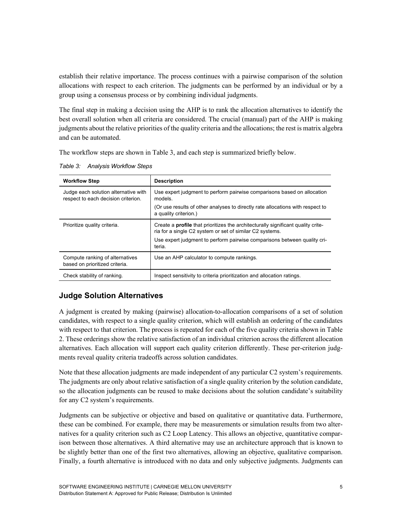establish their relative importance. The process continues with a pairwise comparison of the solution allocations with respect to each criterion. The judgments can be performed by an individual or by a group using a consensus process or by combining individual judgments.

The final step in making a decision using the AHP is to rank the allocation alternatives to identify the best overall solution when all criteria are considered. The crucial (manual) part of the AHP is making judgments about the relative priorities of the quality criteria and the allocations; the rest is matrix algebra and can be automated.

The workflow steps are shown in Table 3, and each step is summarized briefly below.

| Table 3: Analysis Worktlow Steps |  |
|----------------------------------|--|
|                                  |  |

*Table 3: Analysis Workflow Steps*

| <b>Workflow Step</b>                                                        | <b>Description</b>                                                                                                                                  |  |  |  |  |
|-----------------------------------------------------------------------------|-----------------------------------------------------------------------------------------------------------------------------------------------------|--|--|--|--|
| Judge each solution alternative with<br>respect to each decision criterion. | Use expert judgment to perform pairwise comparisons based on allocation<br>models.                                                                  |  |  |  |  |
|                                                                             | (Or use results of other analyses to directly rate allocations with respect to<br>a quality criterion.)                                             |  |  |  |  |
| Prioritize quality criteria.                                                | Create a <b>profile</b> that prioritizes the architecturally significant quality crite-<br>ria for a single C2 system or set of similar C2 systems. |  |  |  |  |
|                                                                             | Use expert judgment to perform pairwise comparisons between quality cri-<br>teria.                                                                  |  |  |  |  |
| Compute ranking of alternatives<br>based on prioritized criteria.           | Use an AHP calculator to compute rankings.                                                                                                          |  |  |  |  |
| Check stability of ranking.                                                 | Inspect sensitivity to criteria prioritization and allocation ratings.                                                                              |  |  |  |  |

#### **Judge Solution Alternatives**

A judgment is created by making (pairwise) allocation-to-allocation comparisons of a set of solution candidates, with respect to a single quality criterion, which will establish an ordering of the candidates with respect to that criterion. The process is repeated for each of the five quality criteria shown in Table 2. These orderings show the relative satisfaction of an individual criterion across the different allocation alternatives. Each allocation will support each quality criterion differently. These per-criterion judgments reveal quality criteria tradeoffs across solution candidates.

Note that these allocation judgments are made independent of any particular C2 system's requirements. The judgments are only about relative satisfaction of a single quality criterion by the solution candidate, so the allocation judgments can be reused to make decisions about the solution candidate's suitability for any C2 system's requirements.

Judgments can be subjective or objective and based on qualitative or quantitative data. Furthermore, these can be combined. For example, there may be measurements or simulation results from two alternatives for a quality criterion such as C2 Loop Latency. This allows an objective, quantitative comparison between those alternatives. A third alternative may use an architecture approach that is known to be slightly better than one of the first two alternatives, allowing an objective, qualitative comparison. Finally, a fourth alternative is introduced with no data and only subjective judgments. Judgments can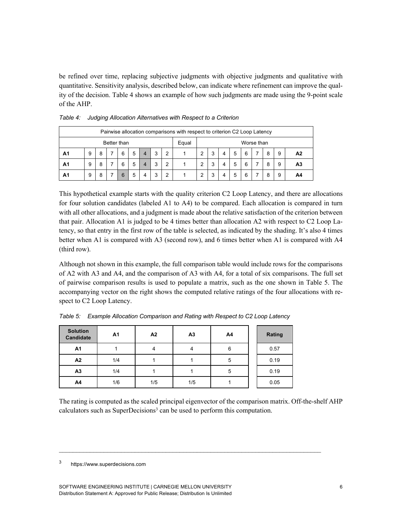be refined over time, replacing subjective judgments with objective judgments and qualitative with quantitative. Sensitivity analysis, described below, can indicate where refinement can improve the quality of the decision. Table 4 shows an example of how such judgments are made using the 9-point scale of the AHP.

| Pairwise allocation comparisons with respect to criterion C2 Loop Latency |   |   |  |   |   |       |            |   |  |   |  |   |   |   |   |   |                |
|---------------------------------------------------------------------------|---|---|--|---|---|-------|------------|---|--|---|--|---|---|---|---|---|----------------|
| Better than                                                               |   |   |  |   |   | Equal | Worse than |   |  |   |  |   |   |   |   |   |                |
| Α1                                                                        | 9 | 8 |  | 6 | 5 | 4     | 3          | 2 |  | 2 |  | 4 | 5 | 6 | 8 | 9 | A2             |
| A1                                                                        | 9 | 8 |  | 6 | 5 |       | 3          | 2 |  | 2 |  | 4 | 5 | 6 | 8 | 9 | A <sub>3</sub> |
| Α1                                                                        | 9 | 8 |  | 6 | 5 | 4     | 3          | 2 |  | າ |  | 4 | 5 | 6 | 8 | 9 | A4             |

*Table 4: Judging Allocation Alternatives with Respect to a Criterion* 

This hypothetical example starts with the quality criterion C2 Loop Latency, and there are allocations for four solution candidates (labeled A1 to A4) to be compared. Each allocation is compared in turn with all other allocations, and a judgment is made about the relative satisfaction of the criterion between that pair. Allocation A1 is judged to be 4 times better than allocation A2 with respect to C2 Loop Latency, so that entry in the first row of the table is selected, as indicated by the shading. It's also 4 times better when A1 is compared with A3 (second row), and 6 times better when A1 is compared with A4 (third row).

Although not shown in this example, the full comparison table would include rows for the comparisons of A2 with A3 and A4, and the comparison of A3 with A4, for a total of six comparisons. The full set of pairwise comparison results is used to populate a matrix, such as the one shown in Table 5. The accompanying vector on the right shows the computed relative ratings of the four allocations with respect to C2 Loop Latency.

| <b>Solution</b><br><b>Candidate</b> | A <sub>1</sub> | A <sub>2</sub> | A <sub>3</sub> | A4 | Rating |
|-------------------------------------|----------------|----------------|----------------|----|--------|
| A1                                  |                | 4              | 4              | 6  | 0.57   |
| A2                                  | 1/4            |                |                | 5  | 0.19   |
| A <sub>3</sub>                      | 1/4            |                |                | 5  | 0.19   |
| A4                                  | 1/6            | 1/5            | 1/5            |    | 0.05   |

*Table 5: Example Allocation Comparison and Rating with Respect to C2 Loop Latency*

The rating is computed as the scaled principal eigenvector of the comparison matrix. Off-the-shelf AHP calculators such as SuperDecisions<sup>3</sup> can be used to perform this computation.

 $\mathcal{L}_\text{max}$ 

<sup>3</sup> https://www.superdecisions.com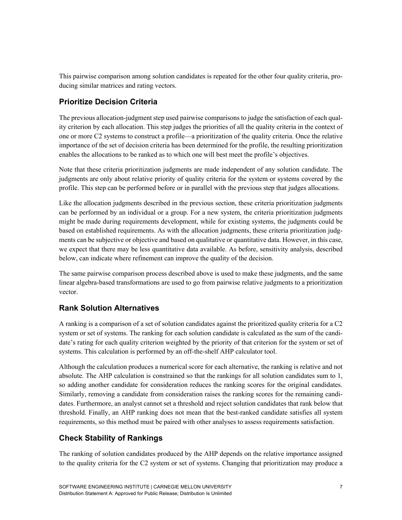This pairwise comparison among solution candidates is repeated for the other four quality criteria, producing similar matrices and rating vectors.

### **Prioritize Decision Criteria**

The previous allocation-judgment step used pairwise comparisons to judge the satisfaction of each quality criterion by each allocation. This step judges the priorities of all the quality criteria in the context of one or more C2 systems to construct a profile—a prioritization of the quality criteria. Once the relative importance of the set of decision criteria has been determined for the profile, the resulting prioritization enables the allocations to be ranked as to which one will best meet the profile's objectives.

Note that these criteria prioritization judgments are made independent of any solution candidate. The judgments are only about relative priority of quality criteria for the system or systems covered by the profile. This step can be performed before or in parallel with the previous step that judges allocations.

Like the allocation judgments described in the previous section, these criteria prioritization judgments can be performed by an individual or a group. For a new system, the criteria prioritization judgments might be made during requirements development, while for existing systems, the judgments could be based on established requirements. As with the allocation judgments, these criteria prioritization judgments can be subjective or objective and based on qualitative or quantitative data. However, in this case, we expect that there may be less quantitative data available. As before, sensitivity analysis, described below, can indicate where refinement can improve the quality of the decision.

The same pairwise comparison process described above is used to make these judgments, and the same linear algebra-based transformations are used to go from pairwise relative judgments to a prioritization vector.

### **Rank Solution Alternatives**

A ranking is a comparison of a set of solution candidates against the prioritized quality criteria for a C2 system or set of systems. The ranking for each solution candidate is calculated as the sum of the candidate's rating for each quality criterion weighted by the priority of that criterion for the system or set of systems. This calculation is performed by an off-the-shelf AHP calculator tool.

Although the calculation produces a numerical score for each alternative, the ranking is relative and not absolute. The AHP calculation is constrained so that the rankings for all solution candidates sum to 1, so adding another candidate for consideration reduces the ranking scores for the original candidates. Similarly, removing a candidate from consideration raises the ranking scores for the remaining candidates. Furthermore, an analyst cannot set a threshold and reject solution candidates that rank below that threshold. Finally, an AHP ranking does not mean that the best-ranked candidate satisfies all system requirements, so this method must be paired with other analyses to assess requirements satisfaction.

### **Check Stability of Rankings**

The ranking of solution candidates produced by the AHP depends on the relative importance assigned to the quality criteria for the C2 system or set of systems. Changing that prioritization may produce a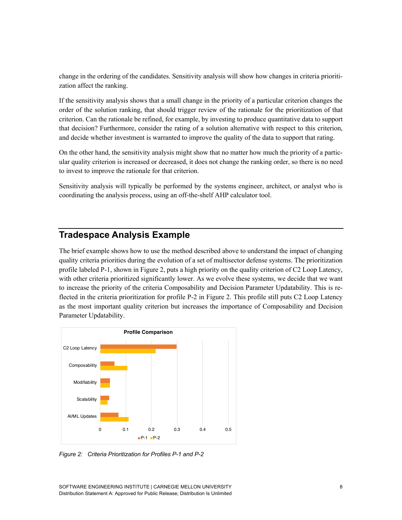change in the ordering of the candidates. Sensitivity analysis will show how changes in criteria prioritization affect the ranking.

If the sensitivity analysis shows that a small change in the priority of a particular criterion changes the order of the solution ranking, that should trigger review of the rationale for the prioritization of that criterion. Can the rationale be refined, for example, by investing to produce quantitative data to support that decision? Furthermore, consider the rating of a solution alternative with respect to this criterion, and decide whether investment is warranted to improve the quality of the data to support that rating.

On the other hand, the sensitivity analysis might show that no matter how much the priority of a particular quality criterion is increased or decreased, it does not change the ranking order, so there is no need to invest to improve the rationale for that criterion.

Sensitivity analysis will typically be performed by the systems engineer, architect, or analyst who is coordinating the analysis process, using an off-the-shelf AHP calculator tool.

## **Tradespace Analysis Example**

The brief example shows how to use the method described above to understand the impact of changing quality criteria priorities during the evolution of a set of multisector defense systems. The prioritization profile labeled P-1, shown in Figure 2, puts a high priority on the quality criterion of C2 Loop Latency, with other criteria prioritized significantly lower. As we evolve these systems, we decide that we want to increase the priority of the criteria Composability and Decision Parameter Updatability. This is reflected in the criteria prioritization for profile P-2 in Figure 2. This profile still puts C2 Loop Latency as the most important quality criterion but increases the importance of Composability and Decision Parameter Updatability.



*Figure 2: Criteria Prioritization for Profiles P-1 and P-2*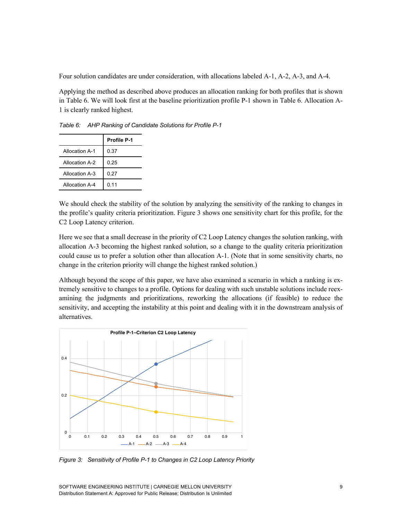Four solution candidates are under consideration, with allocations labeled A-1, A-2, A-3, and A-4.

Applying the method as described above produces an allocation ranking for both profiles that is shown in Table 6. We will look first at the baseline prioritization profile P-1 shown in Table 6. Allocation A-1 is clearly ranked highest.

|                | <b>Profile P-1</b> |
|----------------|--------------------|
| Allocation A-1 | 0.37               |
| Allocation A-2 | 0.25               |
| Allocation A-3 | 0.27               |
| Allocation A-4 | 0.11               |

*Table 6: AHP Ranking of Candidate Solutions for Profile P-1*

We should check the stability of the solution by analyzing the sensitivity of the ranking to changes in the profile's quality criteria prioritization. Figure 3 shows one sensitivity chart for this profile, for the C2 Loop Latency criterion.

Here we see that a small decrease in the priority of C2 Loop Latency changes the solution ranking, with allocation A-3 becoming the highest ranked solution, so a change to the quality criteria prioritization could cause us to prefer a solution other than allocation A-1. (Note that in some sensitivity charts, no change in the criterion priority will change the highest ranked solution.)

Although beyond the scope of this paper, we have also examined a scenario in which a ranking is extremely sensitive to changes to a profile. Options for dealing with such unstable solutions include reexamining the judgments and prioritizations, reworking the allocations (if feasible) to reduce the sensitivity, and accepting the instability at this point and dealing with it in the downstream analysis of alternatives.



*Figure 3: Sensitivity of Profile P-1 to Changes in C2 Loop Latency Priority*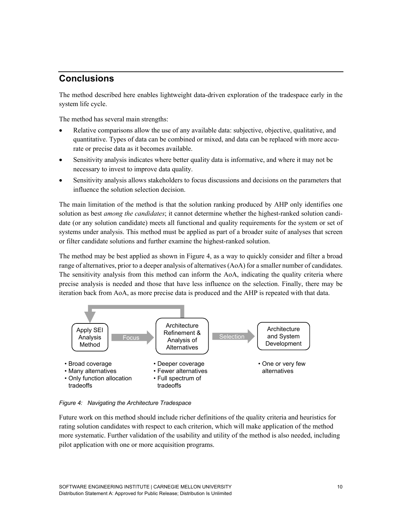# **Conclusions**

The method described here enables lightweight data-driven exploration of the tradespace early in the system life cycle.

The method has several main strengths:

- Relative comparisons allow the use of any available data: subjective, objective, qualitative, and quantitative. Types of data can be combined or mixed, and data can be replaced with more accurate or precise data as it becomes available.
- Sensitivity analysis indicates where better quality data is informative, and where it may not be necessary to invest to improve data quality.
- Sensitivity analysis allows stakeholders to focus discussions and decisions on the parameters that influence the solution selection decision.

The main limitation of the method is that the solution ranking produced by AHP only identifies one solution as best *among the candidates*; it cannot determine whether the highest-ranked solution candidate (or any solution candidate) meets all functional and quality requirements for the system or set of systems under analysis. This method must be applied as part of a broader suite of analyses that screen or filter candidate solutions and further examine the highest-ranked solution.

The method may be best applied as shown in Figure 4, as a way to quickly consider and filter a broad range of alternatives, prior to a deeper analysis of alternatives (AoA) for a smaller number of candidates. The sensitivity analysis from this method can inform the AoA, indicating the quality criteria where precise analysis is needed and those that have less influence on the selection. Finally, there may be iteration back from AoA, as more precise data is produced and the AHP is repeated with that data.



*Figure 4: Navigating the Architecture Tradespace*

Future work on this method should include richer definitions of the quality criteria and heuristics for rating solution candidates with respect to each criterion, which will make application of the method more systematic. Further validation of the usability and utility of the method is also needed, including pilot application with one or more acquisition programs.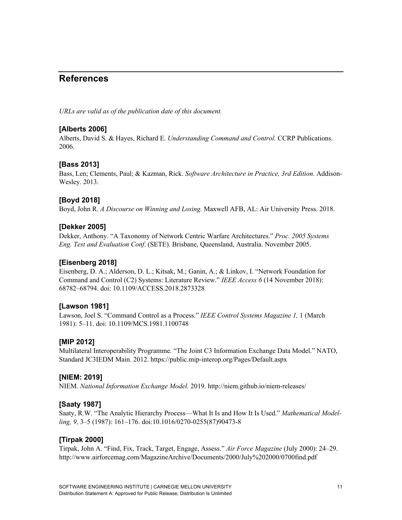# **References**

*URLs are valid as of the publication date of this document.*

#### **[Alberts 2006]**

Alberts, David S. & Hayes, Richard E. *Understanding Command and Control.* CCRP Publications. 2006.

#### **[Bass 2013]**

Bass, Len; Clements, Paul; & Kazman, Rick. *Software Architecture in Practice, 3rd Edition.* Addison-Wesley. 2013.

#### **[Boyd 2018]**

Boyd, John R. *A Discourse on Winning and Losing.* Maxwell AFB, AL: Air University Press. 2018.

#### **[Dekker 2005]**

Dekker, Anthony. "A Taxonomy of Network Centric Warfare Architectures." *Proc. 2005 Systems Eng. Test and Evaluation Conf.* (SETE). Brisbane, Queensland, Australia. November 2005.

#### **[Eisenberg 2018]**

Eisenberg, D. A.; Alderson, D. L.; Kitsak, M.; Ganin, A.; & Linkov, I. "Network Foundation for Command and Control (C2) Systems: Literature Review." *IEEE Access 6* (14 November 2018): 68782–68794. doi: 10.1109/ACCESS.2018.2873328

#### **[Lawson 1981]**

Lawson, Joel S. "Command Control as a Process." *IEEE Control Systems Magazine 1,* 1 (March 1981): 5–11. doi: 10.1109/MCS.1981.1100748

#### **[MIP 2012]**

Multilateral Interoperability Programme. "The Joint C3 Information Exchange Data Model." NATO, Standard JC3IEDM Main. 2012. https://public.mip-interop.org/Pages/Default.aspx

#### **[NIEM: 2019]**

NIEM. *National Information Exchange Model.* 2019. http://niem.github.io/niem-releases/

#### **[Saaty 1987]**

Saaty, R.W. "The Analytic Hierarchy Process—What It Is and How It Is Used." *Mathematical Modelling, 9,* 3–5 (1987): 161–176. doi:10.1016/0270-0255(87)90473-8

#### **[Tirpak 2000]**

Tirpak, John A. "Find, Fix, Track, Target, Engage, Assess." *Air Force Magazine* (July 2000): 24–29. http://www.airforcemag.com/MagazineArchive/Documents/2000/July%202000/0700find.pdf